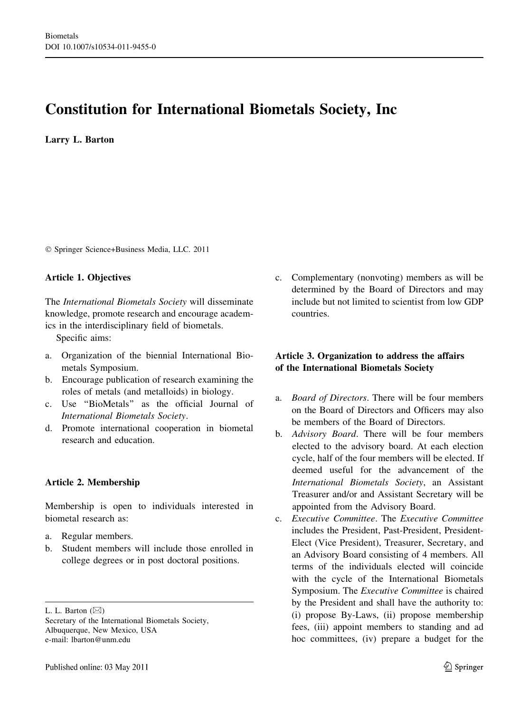# Constitution for International Biometals Society, Inc

Larry L. Barton

- Springer Science+Business Media, LLC. 2011

#### Article 1. Objectives

The International Biometals Society will disseminate knowledge, promote research and encourage academics in the interdisciplinary field of biometals.

Specific aims:

- a. Organization of the biennial International Biometals Symposium.
- b. Encourage publication of research examining the roles of metals (and metalloids) in biology.
- c. Use ''BioMetals'' as the official Journal of International Biometals Society.
- d. Promote international cooperation in biometal research and education.

#### Article 2. Membership

Membership is open to individuals interested in biometal research as:

- a. Regular members.
- b. Student members will include those enrolled in college degrees or in post doctoral positions.

L. L. Barton  $(\boxtimes)$ 

Published online: 03 May 2011

c. Complementary (nonvoting) members as will be determined by the Board of Directors and may include but not limited to scientist from low GDP countries.

## Article 3. Organization to address the affairs of the International Biometals Society

- a. Board of Directors. There will be four members on the Board of Directors and Officers may also be members of the Board of Directors.
- b. Advisory Board. There will be four members elected to the advisory board. At each election cycle, half of the four members will be elected. If deemed useful for the advancement of the International Biometals Society, an Assistant Treasurer and/or and Assistant Secretary will be appointed from the Advisory Board.
- c. Executive Committee. The Executive Committee includes the President, Past-President, President-Elect (Vice President), Treasurer, Secretary, and an Advisory Board consisting of 4 members. All terms of the individuals elected will coincide with the cycle of the International Biometals Symposium. The Executive Committee is chaired by the President and shall have the authority to: (i) propose By-Laws, (ii) propose membership fees, (iii) appoint members to standing and ad hoc committees, (iv) prepare a budget for the

Secretary of the International Biometals Society, Albuquerque, New Mexico, USA e-mail: lbarton@unm.edu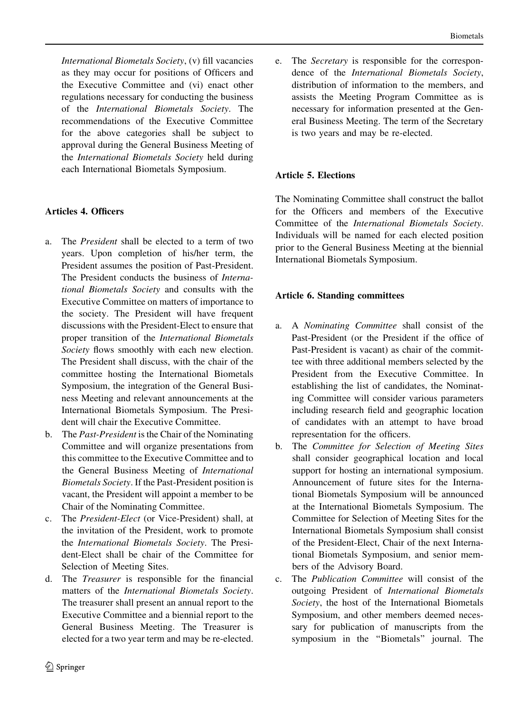International Biometals Society, (v) fill vacancies as they may occur for positions of Officers and the Executive Committee and (vi) enact other regulations necessary for conducting the business of the International Biometals Society. The recommendations of the Executive Committee for the above categories shall be subject to approval during the General Business Meeting of the International Biometals Society held during each International Biometals Symposium.

## Articles 4. Officers

- a. The President shall be elected to a term of two years. Upon completion of his/her term, the President assumes the position of Past-President. The President conducts the business of International Biometals Society and consults with the Executive Committee on matters of importance to the society. The President will have frequent discussions with the President-Elect to ensure that proper transition of the International Biometals Society flows smoothly with each new election. The President shall discuss, with the chair of the committee hosting the International Biometals Symposium, the integration of the General Business Meeting and relevant announcements at the International Biometals Symposium. The President will chair the Executive Committee.
- b. The Past-President is the Chair of the Nominating Committee and will organize presentations from this committee to the Executive Committee and to the General Business Meeting of International Biometals Society. If the Past-President position is vacant, the President will appoint a member to be Chair of the Nominating Committee.
- c. The President-Elect (or Vice-President) shall, at the invitation of the President, work to promote the International Biometals Society. The President-Elect shall be chair of the Committee for Selection of Meeting Sites.
- d. The Treasurer is responsible for the financial matters of the International Biometals Society. The treasurer shall present an annual report to the Executive Committee and a biennial report to the General Business Meeting. The Treasurer is elected for a two year term and may be re-elected.

e. The Secretary is responsible for the correspondence of the International Biometals Society, distribution of information to the members, and assists the Meeting Program Committee as is necessary for information presented at the General Business Meeting. The term of the Secretary is two years and may be re-elected.

## Article 5. Elections

The Nominating Committee shall construct the ballot for the Officers and members of the Executive Committee of the International Biometals Society. Individuals will be named for each elected position prior to the General Business Meeting at the biennial International Biometals Symposium.

## Article 6. Standing committees

- a. A Nominating Committee shall consist of the Past-President (or the President if the office of Past-President is vacant) as chair of the committee with three additional members selected by the President from the Executive Committee. In establishing the list of candidates, the Nominating Committee will consider various parameters including research field and geographic location of candidates with an attempt to have broad representation for the officers.
- b. The Committee for Selection of Meeting Sites shall consider geographical location and local support for hosting an international symposium. Announcement of future sites for the International Biometals Symposium will be announced at the International Biometals Symposium. The Committee for Selection of Meeting Sites for the International Biometals Symposium shall consist of the President-Elect, Chair of the next International Biometals Symposium, and senior members of the Advisory Board.
- c. The Publication Committee will consist of the outgoing President of International Biometals Society, the host of the International Biometals Symposium, and other members deemed necessary for publication of manuscripts from the symposium in the ''Biometals'' journal. The